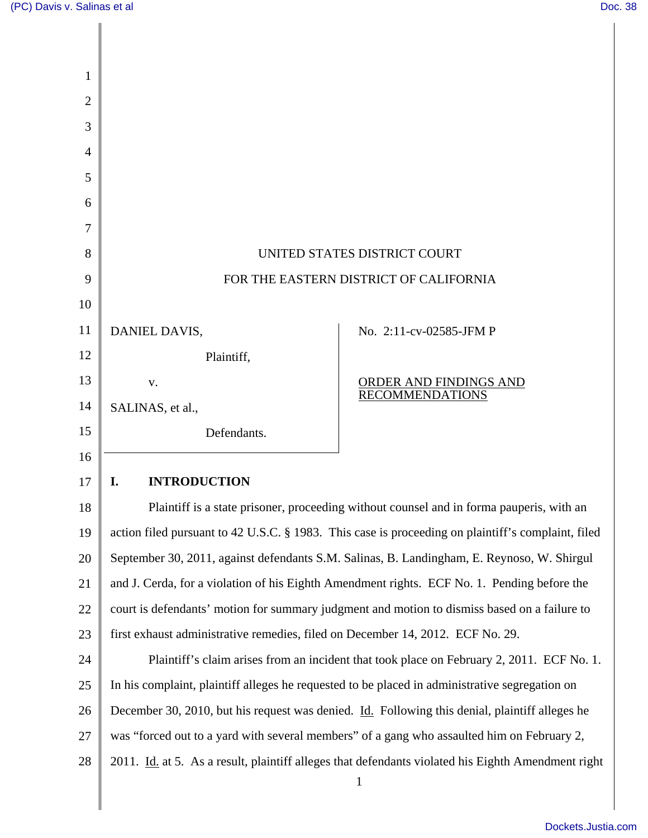$\mathsf{l}$ 

| 1              |                                                                                                |                                                                                                    |
|----------------|------------------------------------------------------------------------------------------------|----------------------------------------------------------------------------------------------------|
| $\overline{2}$ |                                                                                                |                                                                                                    |
| 3              |                                                                                                |                                                                                                    |
| 4<br>5         |                                                                                                |                                                                                                    |
| 6              |                                                                                                |                                                                                                    |
| 7              |                                                                                                |                                                                                                    |
| 8              | UNITED STATES DISTRICT COURT                                                                   |                                                                                                    |
| 9              | FOR THE EASTERN DISTRICT OF CALIFORNIA                                                         |                                                                                                    |
| 10             |                                                                                                |                                                                                                    |
| 11             | DANIEL DAVIS,                                                                                  | No. 2:11-cv-02585-JFM P                                                                            |
| 12             | Plaintiff,                                                                                     |                                                                                                    |
| 13             | V.                                                                                             | <b>ORDER AND FINDINGS AND</b>                                                                      |
| 14             | SALINAS, et al.,                                                                               | <b>RECOMMENDATIONS</b>                                                                             |
| 15             | Defendants.                                                                                    |                                                                                                    |
| 16             |                                                                                                |                                                                                                    |
| 17             | <b>INTRODUCTION</b><br>I.                                                                      |                                                                                                    |
| 18             |                                                                                                | Plaintiff is a state prisoner, proceeding without counsel and in forma pauperis, with an           |
| 19             |                                                                                                | action filed pursuant to 42 U.S.C. § 1983. This case is proceeding on plaintiff's complaint, filed |
| 20             |                                                                                                | September 30, 2011, against defendants S.M. Salinas, B. Landingham, E. Reynoso, W. Shirgul         |
| 21             |                                                                                                | and J. Cerda, for a violation of his Eighth Amendment rights. ECF No. 1. Pending before the        |
| 22             | court is defendants' motion for summary judgment and motion to dismiss based on a failure to   |                                                                                                    |
| 23             | first exhaust administrative remedies, filed on December 14, 2012. ECF No. 29.                 |                                                                                                    |
| 24             | Plaintiff's claim arises from an incident that took place on February 2, 2011. ECF No. 1.      |                                                                                                    |
| 25             | In his complaint, plaintiff alleges he requested to be placed in administrative segregation on |                                                                                                    |
| 26             | December 30, 2010, but his request was denied. Id. Following this denial, plaintiff alleges he |                                                                                                    |
| 27             | was "forced out to a yard with several members" of a gang who assaulted him on February 2,     |                                                                                                    |
| 28             |                                                                                                | 2011. Id. at 5. As a result, plaintiff alleges that defendants violated his Eighth Amendment right |
|                |                                                                                                | $\mathbf{1}$                                                                                       |

[Dockets.Justia.com](http://dockets.justia.com/)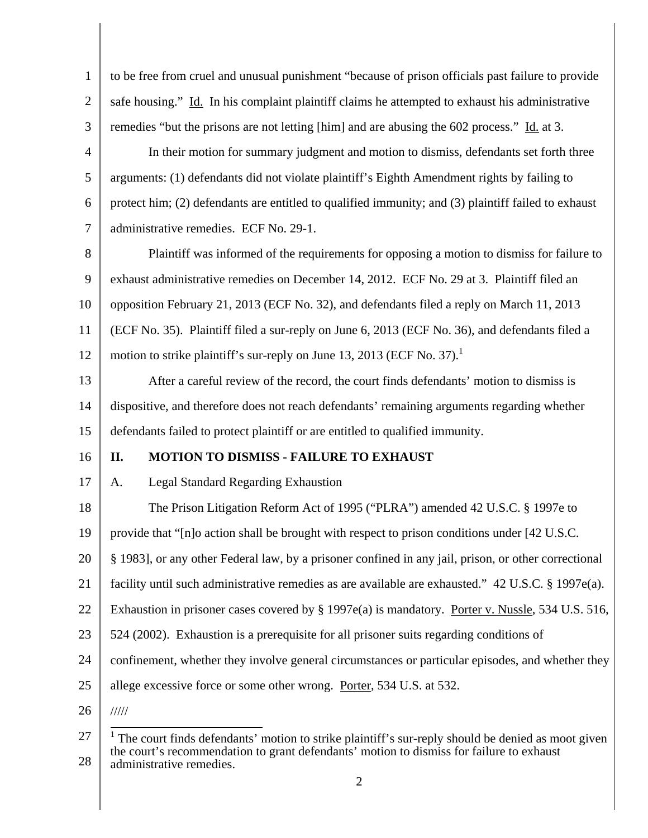| $\mathbf{1}$   | to be free from cruel and unusual punishment "because of prison officials past failure to provide                    |  |
|----------------|----------------------------------------------------------------------------------------------------------------------|--|
| $\overline{2}$ | safe housing." Id. In his complaint plaintiff claims he attempted to exhaust his administrative                      |  |
| 3              | remedies "but the prisons are not letting [him] and are abusing the 602 process." Id. at 3.                          |  |
| $\overline{4}$ | In their motion for summary judgment and motion to dismiss, defendants set forth three                               |  |
| 5              | arguments: (1) defendants did not violate plaintiff's Eighth Amendment rights by failing to                          |  |
| 6              | protect him; (2) defendants are entitled to qualified immunity; and (3) plaintiff failed to exhaust                  |  |
| 7              | administrative remedies. ECF No. 29-1.                                                                               |  |
| 8              | Plaintiff was informed of the requirements for opposing a motion to dismiss for failure to                           |  |
| 9              | exhaust administrative remedies on December 14, 2012. ECF No. 29 at 3. Plaintiff filed an                            |  |
| 10             | opposition February 21, 2013 (ECF No. 32), and defendants filed a reply on March 11, 2013                            |  |
| 11             | (ECF No. 35). Plaintiff filed a sur-reply on June 6, 2013 (ECF No. 36), and defendants filed a                       |  |
| 12             | motion to strike plaintiff's sur-reply on June 13, 2013 (ECF No. 37).                                                |  |
| 13             | After a careful review of the record, the court finds defendants' motion to dismiss is                               |  |
| 14             | dispositive, and therefore does not reach defendants' remaining arguments regarding whether                          |  |
| 15             | defendants failed to protect plaintiff or are entitled to qualified immunity.                                        |  |
| 16             | MOTION TO DISMISS - FAILURE TO EXHAUST<br>II.                                                                        |  |
| 17             | <b>Legal Standard Regarding Exhaustion</b><br>A.                                                                     |  |
| 18             | The Prison Litigation Reform Act of 1995 ("PLRA") amended 42 U.S.C. § 1997e to                                       |  |
| 19             | provide that "[n]o action shall be brought with respect to prison conditions under [42 U.S.C.                        |  |
| 20             | § 1983], or any other Federal law, by a prisoner confined in any jail, prison, or other correctional                 |  |
| 21             | facility until such administrative remedies as are available are exhausted." 42 U.S.C. § 1997e(a).                   |  |
| 22             | Exhaustion in prisoner cases covered by § 1997e(a) is mandatory. Porter v. Nussle, 534 U.S. 516,                     |  |
| 23             | 524 (2002). Exhaustion is a prerequisite for all prisoner suits regarding conditions of                              |  |
| 24             | confinement, whether they involve general circumstances or particular episodes, and whether they                     |  |
| 25             | allege excessive force or some other wrong. Porter, 534 U.S. at 532.                                                 |  |
| 26             | $\frac{1}{1}$                                                                                                        |  |
| 27             | <sup>1</sup> The court finds defendants' motion to strike plaintiff's sur-reply should be denied as moot given       |  |
| 28             | the court's recommendation to grant defendants' motion to dismiss for failure to exhaust<br>administrative remedies. |  |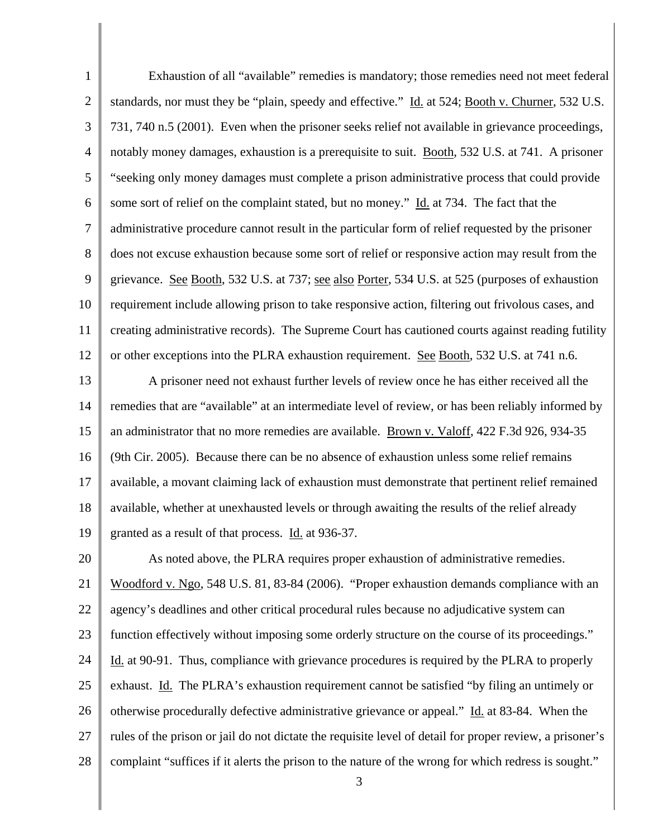1 2 3 4 5 6 7 8 9 10 11 12 Exhaustion of all "available" remedies is mandatory; those remedies need not meet federal standards, nor must they be "plain, speedy and effective." Id. at 524; Booth v. Churner, 532 U.S. 731, 740 n.5 (2001). Even when the prisoner seeks relief not available in grievance proceedings, notably money damages, exhaustion is a prerequisite to suit. Booth, 532 U.S. at 741. A prisoner "seeking only money damages must complete a prison administrative process that could provide some sort of relief on the complaint stated, but no money." Id. at 734. The fact that the administrative procedure cannot result in the particular form of relief requested by the prisoner does not excuse exhaustion because some sort of relief or responsive action may result from the grievance. See Booth, 532 U.S. at 737; see also Porter, 534 U.S. at 525 (purposes of exhaustion requirement include allowing prison to take responsive action, filtering out frivolous cases, and creating administrative records). The Supreme Court has cautioned courts against reading futility or other exceptions into the PLRA exhaustion requirement. See Booth, 532 U.S. at 741 n.6.

13 14 15 16 17 18 19 A prisoner need not exhaust further levels of review once he has either received all the remedies that are "available" at an intermediate level of review, or has been reliably informed by an administrator that no more remedies are available. Brown v. Valoff, 422 F.3d 926, 934-35 (9th Cir. 2005). Because there can be no absence of exhaustion unless some relief remains available, a movant claiming lack of exhaustion must demonstrate that pertinent relief remained available, whether at unexhausted levels or through awaiting the results of the relief already granted as a result of that process. Id. at 936-37.

20 21 22 23 24 25 26 27 28 As noted above, the PLRA requires proper exhaustion of administrative remedies. Woodford v. Ngo, 548 U.S. 81, 83-84 (2006). "Proper exhaustion demands compliance with an agency's deadlines and other critical procedural rules because no adjudicative system can function effectively without imposing some orderly structure on the course of its proceedings." Id. at 90-91. Thus, compliance with grievance procedures is required by the PLRA to properly exhaust. Id. The PLRA's exhaustion requirement cannot be satisfied "by filing an untimely or otherwise procedurally defective administrative grievance or appeal." Id. at 83-84. When the rules of the prison or jail do not dictate the requisite level of detail for proper review, a prisoner's complaint "suffices if it alerts the prison to the nature of the wrong for which redress is sought."

3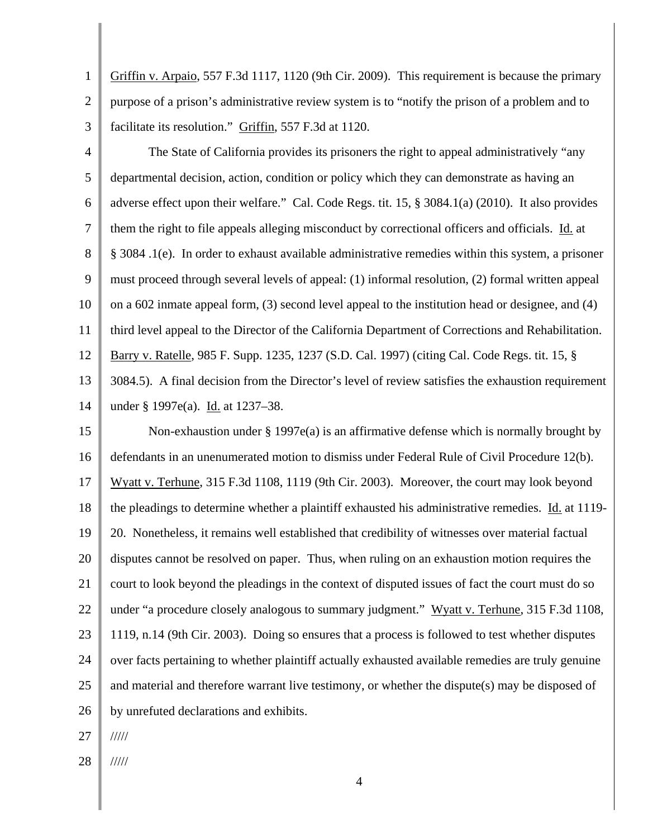1 2 Griffin v. Arpaio, 557 F.3d 1117, 1120 (9th Cir. 2009). This requirement is because the primary purpose of a prison's administrative review system is to "notify the prison of a problem and to facilitate its resolution." Griffin, 557 F.3d at 1120.

3

4 5 6 7 8 9 10 11 12 13 14 The State of California provides its prisoners the right to appeal administratively "any departmental decision, action, condition or policy which they can demonstrate as having an adverse effect upon their welfare." Cal. Code Regs. tit. 15, § 3084.1(a) (2010). It also provides them the right to file appeals alleging misconduct by correctional officers and officials. Id. at § 3084 .1(e). In order to exhaust available administrative remedies within this system, a prisoner must proceed through several levels of appeal: (1) informal resolution, (2) formal written appeal on a 602 inmate appeal form, (3) second level appeal to the institution head or designee, and (4) third level appeal to the Director of the California Department of Corrections and Rehabilitation. Barry v. Ratelle, 985 F. Supp. 1235, 1237 (S.D. Cal. 1997) (citing Cal. Code Regs. tit. 15, § 3084.5). A final decision from the Director's level of review satisfies the exhaustion requirement under § 1997e(a). Id. at 1237–38.

15 16 17 18 19 20 21 22 23 24 25 26 Non-exhaustion under  $\S 1997e(a)$  is an affirmative defense which is normally brought by defendants in an unenumerated motion to dismiss under Federal Rule of Civil Procedure 12(b). Wyatt v. Terhune, 315 F.3d 1108, 1119 (9th Cir. 2003). Moreover, the court may look beyond the pleadings to determine whether a plaintiff exhausted his administrative remedies. Id. at 1119- 20. Nonetheless, it remains well established that credibility of witnesses over material factual disputes cannot be resolved on paper. Thus, when ruling on an exhaustion motion requires the court to look beyond the pleadings in the context of disputed issues of fact the court must do so under "a procedure closely analogous to summary judgment." Wyatt v. Terhune, 315 F.3d 1108, 1119, n.14 (9th Cir. 2003). Doing so ensures that a process is followed to test whether disputes over facts pertaining to whether plaintiff actually exhausted available remedies are truly genuine and material and therefore warrant live testimony, or whether the dispute(s) may be disposed of by unrefuted declarations and exhibits.

27 /////

28 /////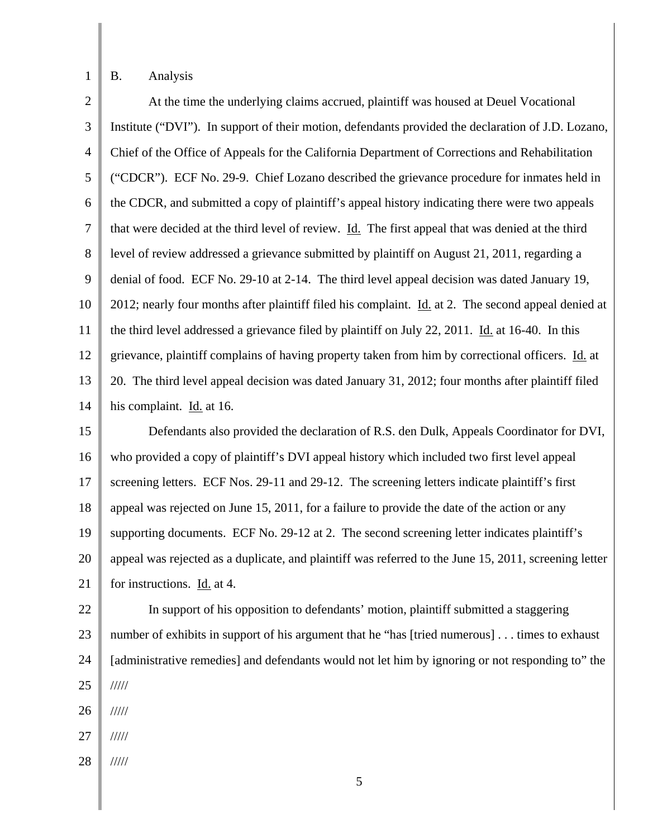1

## B. Analysis

| $\overline{2}$ | At the time the underlying claims accrued, plaintiff was housed at Deuel Vocational                   |
|----------------|-------------------------------------------------------------------------------------------------------|
| 3              | Institute ("DVI"). In support of their motion, defendants provided the declaration of J.D. Lozano,    |
| 4              | Chief of the Office of Appeals for the California Department of Corrections and Rehabilitation        |
| 5              | ("CDCR"). ECF No. 29-9. Chief Lozano described the grievance procedure for inmates held in            |
| 6              | the CDCR, and submitted a copy of plaintiff's appeal history indicating there were two appeals        |
| 7              | that were decided at the third level of review. Id. The first appeal that was denied at the third     |
| 8              | level of review addressed a grievance submitted by plaintiff on August 21, 2011, regarding a          |
| 9              | denial of food. ECF No. 29-10 at 2-14. The third level appeal decision was dated January 19,          |
| 10             | 2012; nearly four months after plaintiff filed his complaint. Id. at 2. The second appeal denied at   |
| 11             | the third level addressed a grievance filed by plaintiff on July 22, 2011. Id. at 16-40. In this      |
| 12             | grievance, plaintiff complains of having property taken from him by correctional officers. Id. at     |
| 13             | 20. The third level appeal decision was dated January 31, 2012; four months after plaintiff filed     |
| 14             | his complaint. Id. at 16.                                                                             |
| 15             | Defendants also provided the declaration of R.S. den Dulk, Appeals Coordinator for DVI,               |
| 16             | who provided a copy of plaintiff's DVI appeal history which included two first level appeal           |
| 17             | screening letters. ECF Nos. 29-11 and 29-12. The screening letters indicate plaintiff's first         |
| 18             | appeal was rejected on June 15, 2011, for a failure to provide the date of the action or any          |
| 19             | supporting documents. ECF No. 29-12 at 2. The second screening letter indicates plaintiff's           |
| 20             | appeal was rejected as a duplicate, and plaintiff was referred to the June 15, 2011, screening letter |
| 21             | for instructions. Id. at 4.                                                                           |
| 22             | In support of his opposition to defendants' motion, plaintiff submitted a staggering                  |
| 23             | number of exhibits in support of his argument that he "has [tried numerous] times to exhaust          |
| 24             | [administrative remedies] and defendants would not let him by ignoring or not responding to" the      |
| 25             | 11111                                                                                                 |
| 26             | 11111                                                                                                 |
| 27             | 11111                                                                                                 |
| 28             | 11111                                                                                                 |
|                | 5                                                                                                     |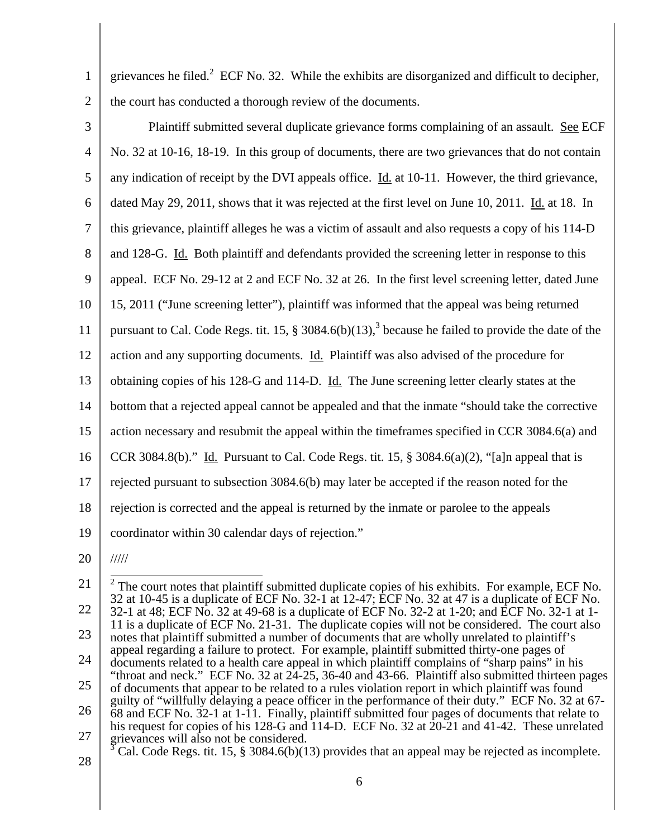- 1 2 grievances he filed.<sup>2</sup> ECF No. 32. While the exhibits are disorganized and difficult to decipher, the court has conducted a thorough review of the documents.
- 

3 4 5 6 7 8 9 10 11 12 13 14 15 16 17 18 19 20 Plaintiff submitted several duplicate grievance forms complaining of an assault. See ECF No. 32 at 10-16, 18-19. In this group of documents, there are two grievances that do not contain any indication of receipt by the DVI appeals office. Id. at 10-11. However, the third grievance, dated May 29, 2011, shows that it was rejected at the first level on June 10, 2011. Id. at 18. In this grievance, plaintiff alleges he was a victim of assault and also requests a copy of his 114-D and 128-G. Id. Both plaintiff and defendants provided the screening letter in response to this appeal. ECF No. 29-12 at 2 and ECF No. 32 at 26. In the first level screening letter, dated June 15, 2011 ("June screening letter"), plaintiff was informed that the appeal was being returned pursuant to Cal. Code Regs. tit. 15,  $\S 3084.6(b)(13)$ , because he failed to provide the date of the action and any supporting documents. Id. Plaintiff was also advised of the procedure for obtaining copies of his 128-G and 114-D. Id. The June screening letter clearly states at the bottom that a rejected appeal cannot be appealed and that the inmate "should take the corrective action necessary and resubmit the appeal within the timeframes specified in CCR 3084.6(a) and CCR 3084.8(b)." Id. Pursuant to Cal. Code Regs. tit. 15,  $\S$  3084.6(a)(2), "[a]n appeal that is rejected pursuant to subsection 3084.6(b) may later be accepted if the reason noted for the rejection is corrected and the appeal is returned by the inmate or parolee to the appeals coordinator within 30 calendar days of rejection." ///// <sup>2</sup> The court notes that plaintiff submitted duplicate copies of his exhibits. For example, ECF No.

<sup>21</sup>  22 23 24 25 26 27 32 at 10-45 is a duplicate of ECF No. 32-1 at 12-47; ECF No. 32 at 47 is a duplicate of ECF No. 32-1 at 48; ECF No. 32 at 49-68 is a duplicate of ECF No. 32-2 at 1-20; and ECF No. 32-1 at 1- 11 is a duplicate of ECF No. 21-31. The duplicate copies will not be considered. The court also notes that plaintiff submitted a number of documents that are wholly unrelated to plaintiff's appeal regarding a failure to protect. For example, plaintiff submitted thirty-one pages of documents related to a health care appeal in which plaintiff complains of "sharp pains" in his "throat and neck." ECF No. 32 at 24-25, 36-40 and 43-66. Plaintiff also submitted thirteen pages of documents that appear to be related to a rules violation report in which plaintiff was found guilty of "willfully delaying a peace officer in the performance of their duty." ECF No. 32 at 67- 68 and ECF No. 32-1 at 1-11. Finally, plaintiff submitted four pages of documents that relate to his request for copies of his 128-G and 114-D. ECF No. 32 at 20-21 and 41-42. These unrelated grievances will also not be considered.

<sup>28</sup>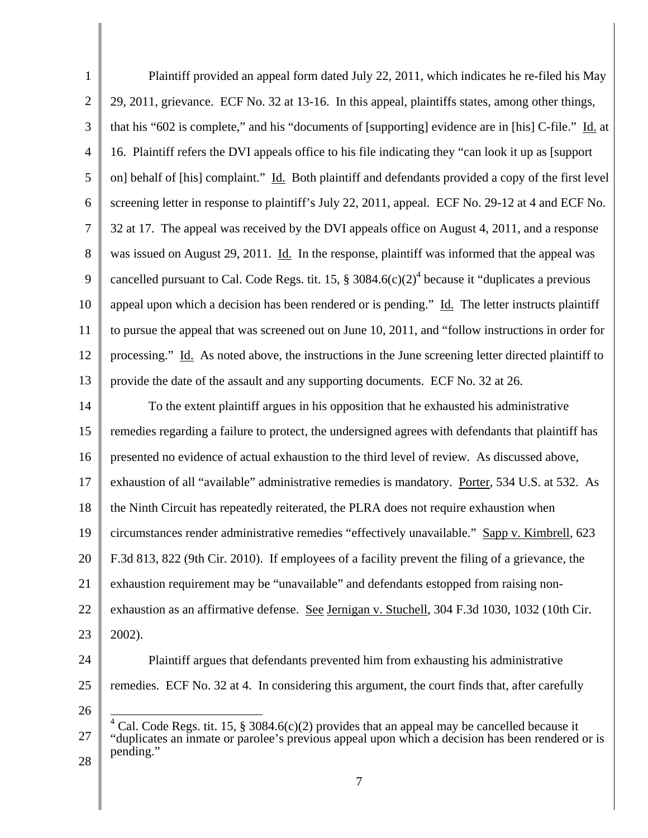| $\mathbf{1}$   | Plaintiff provided an appeal form dated July 22, 2011, which indicates he re-filed his May                                                                                                      |  |
|----------------|-------------------------------------------------------------------------------------------------------------------------------------------------------------------------------------------------|--|
| $\mathbf{2}$   | 29, 2011, grievance. ECF No. 32 at 13-16. In this appeal, plaintiffs states, among other things,                                                                                                |  |
| 3              | that his "602 is complete," and his "documents of [supporting] evidence are in [his] C-file." Id. at                                                                                            |  |
| $\overline{4}$ | 16. Plaintiff refers the DVI appeals office to his file indicating they "can look it up as [support]                                                                                            |  |
| 5              | on] behalf of [his] complaint." Id. Both plaintiff and defendants provided a copy of the first level                                                                                            |  |
| 6              | screening letter in response to plaintiff's July 22, 2011, appeal. ECF No. 29-12 at 4 and ECF No.                                                                                               |  |
| $\overline{7}$ | 32 at 17. The appeal was received by the DVI appeals office on August 4, 2011, and a response                                                                                                   |  |
| 8              | was issued on August 29, 2011. Id. In the response, plaintiff was informed that the appeal was                                                                                                  |  |
| 9              | cancelled pursuant to Cal. Code Regs. tit. 15, $\S 3084.6(c)(2)^4$ because it "duplicates a previous                                                                                            |  |
| 10             | appeal upon which a decision has been rendered or is pending." Id. The letter instructs plaintiff                                                                                               |  |
| 11             | to pursue the appeal that was screened out on June 10, 2011, and "follow instructions in order for                                                                                              |  |
| 12             | processing." Id. As noted above, the instructions in the June screening letter directed plaintiff to                                                                                            |  |
| 13             | provide the date of the assault and any supporting documents. ECF No. 32 at 26.                                                                                                                 |  |
| 14             | To the extent plaintiff argues in his opposition that he exhausted his administrative                                                                                                           |  |
| 15             | remedies regarding a failure to protect, the undersigned agrees with defendants that plaintiff has                                                                                              |  |
| 16             | presented no evidence of actual exhaustion to the third level of review. As discussed above,                                                                                                    |  |
| 17             | exhaustion of all "available" administrative remedies is mandatory. Porter, 534 U.S. at 532. As                                                                                                 |  |
| 18             | the Ninth Circuit has repeatedly reiterated, the PLRA does not require exhaustion when                                                                                                          |  |
| 19             | circumstances render administrative remedies "effectively unavailable." Sapp v. Kimbrell, 623                                                                                                   |  |
| 20             | F.3d 813, 822 (9th Cir. 2010). If employees of a facility prevent the filing of a grievance, the                                                                                                |  |
| 21             | exhaustion requirement may be "unavailable" and defendants estopped from raising non-                                                                                                           |  |
| 22             | exhaustion as an affirmative defense. See Jernigan v. Stuchell, 304 F.3d 1030, 1032 (10th Cir.                                                                                                  |  |
| 23             | 2002).                                                                                                                                                                                          |  |
| 24             | Plaintiff argues that defendants prevented him from exhausting his administrative                                                                                                               |  |
| 25             | remedies. ECF No. 32 at 4. In considering this argument, the court finds that, after carefully                                                                                                  |  |
| 26             |                                                                                                                                                                                                 |  |
| 27             | Cal. Code Regs. tit. 15, § 3084.6(c)(2) provides that an appeal may be cancelled because it<br>"duplicates an inmate or parolee's previous appeal upon which a decision has been rendered or is |  |
| 28             | pending."                                                                                                                                                                                       |  |
|                | 7                                                                                                                                                                                               |  |

║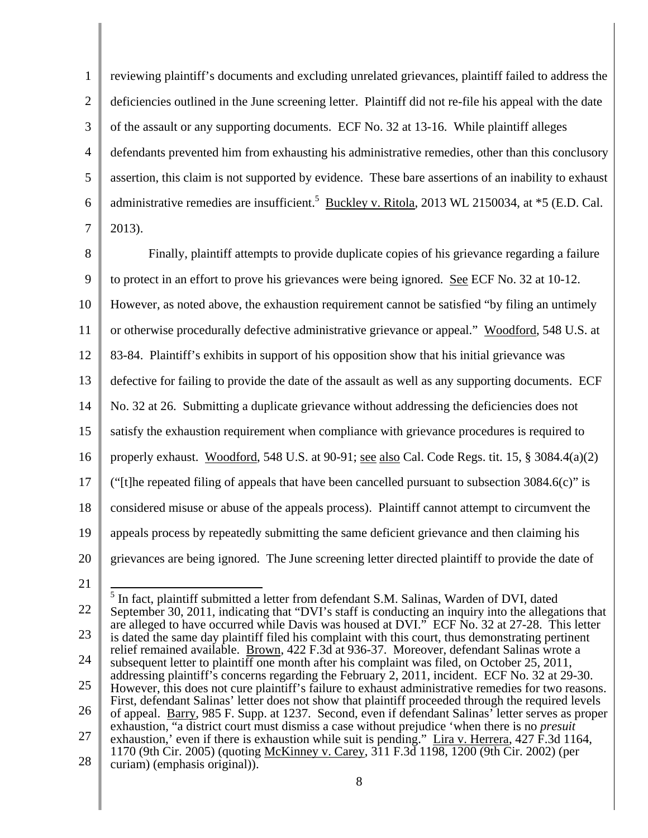1 2 3 4 5 6 7 reviewing plaintiff's documents and excluding unrelated grievances, plaintiff failed to address the deficiencies outlined in the June screening letter. Plaintiff did not re-file his appeal with the date of the assault or any supporting documents. ECF No. 32 at 13-16. While plaintiff alleges defendants prevented him from exhausting his administrative remedies, other than this conclusory assertion, this claim is not supported by evidence. These bare assertions of an inability to exhaust administrative remedies are insufficient.<sup>5</sup> Buckley v. Ritola, 2013 WL 2150034, at \*5 (E.D. Cal. 2013).

8 9 10 11 12 13 14 15 16 17 18 19 20 Finally, plaintiff attempts to provide duplicate copies of his grievance regarding a failure to protect in an effort to prove his grievances were being ignored. See ECF No. 32 at 10-12. However, as noted above, the exhaustion requirement cannot be satisfied "by filing an untimely or otherwise procedurally defective administrative grievance or appeal." Woodford, 548 U.S. at 83-84. Plaintiff's exhibits in support of his opposition show that his initial grievance was defective for failing to provide the date of the assault as well as any supporting documents. ECF No. 32 at 26. Submitting a duplicate grievance without addressing the deficiencies does not satisfy the exhaustion requirement when compliance with grievance procedures is required to properly exhaust. Woodford, 548 U.S. at 90-91; see also Cal. Code Regs. tit. 15, § 3084.4(a)(2) ("[t]he repeated filing of appeals that have been cancelled pursuant to subsection  $3084.6(c)$ " is considered misuse or abuse of the appeals process). Plaintiff cannot attempt to circumvent the appeals process by repeatedly submitting the same deficient grievance and then claiming his grievances are being ignored. The June screening letter directed plaintiff to provide the date of

21

<sup>22</sup>  23 24 25 26 27 28 <sup>5</sup> In fact, plaintiff submitted a letter from defendant S.M. Salinas, Warden of DVI, dated September 30, 2011, indicating that "DVI's staff is conducting an inquiry into the allegations that are alleged to have occurred while Davis was housed at DVI." ECF No. 32 at 27-28. This letter is dated the same day plaintiff filed his complaint with this court, thus demonstrating pertinent relief remained available. Brown, 422 F.3d at 936-37. Moreover, defendant Salinas wrote a subsequent letter to plaintiff one month after his complaint was filed, on October 25, 2011, addressing plaintiff's concerns regarding the February 2, 2011, incident. ECF No. 32 at 29-30. However, this does not cure plaintiff's failure to exhaust administrative remedies for two reasons. First, defendant Salinas' letter does not show that plaintiff proceeded through the required levels of appeal. Barry, 985 F. Supp. at 1237. Second, even if defendant Salinas' letter serves as proper exhaustion, "a district court must dismiss a case without prejudice 'when there is no *presuit* exhaustion,' even if there is exhaustion while suit is pending." Lira v. Herrera, 427 F.3d 1164, 1170 (9th Cir. 2005) (quoting McKinney v. Carey, 311 F.3d 1198, 1200 (9th Cir. 2002) (per curiam) (emphasis original)).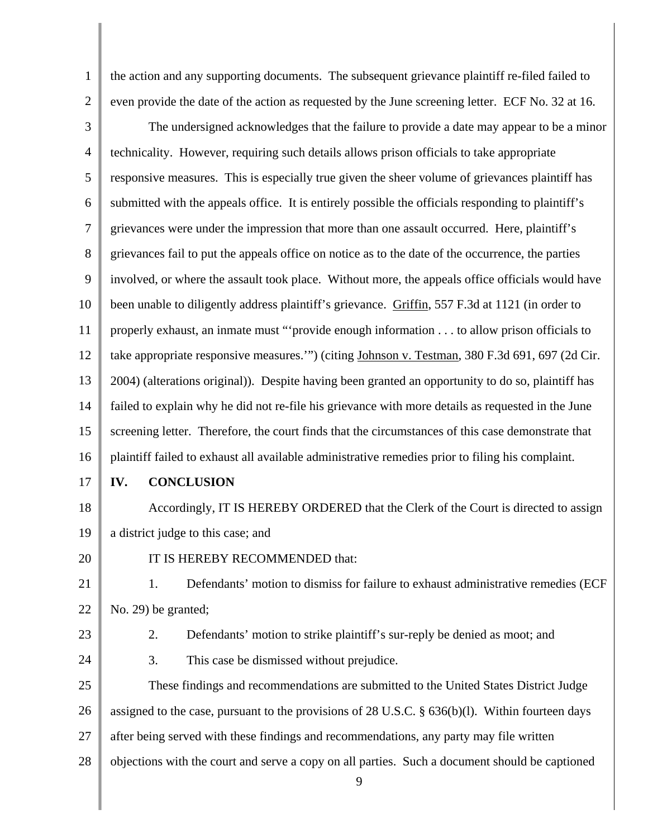the action and any supporting documents. The subsequent grievance plaintiff re-filed failed to even provide the date of the action as requested by the June screening letter. ECF No. 32 at 16.

3 4 5 6 7 8 9 10 11 12 13 14 15 16 The undersigned acknowledges that the failure to provide a date may appear to be a minor technicality. However, requiring such details allows prison officials to take appropriate responsive measures. This is especially true given the sheer volume of grievances plaintiff has submitted with the appeals office. It is entirely possible the officials responding to plaintiff's grievances were under the impression that more than one assault occurred. Here, plaintiff's grievances fail to put the appeals office on notice as to the date of the occurrence, the parties involved, or where the assault took place. Without more, the appeals office officials would have been unable to diligently address plaintiff's grievance. Griffin, 557 F.3d at 1121 (in order to properly exhaust, an inmate must "'provide enough information . . . to allow prison officials to take appropriate responsive measures.'") (citing Johnson v. Testman, 380 F.3d 691, 697 (2d Cir. 2004) (alterations original)). Despite having been granted an opportunity to do so, plaintiff has failed to explain why he did not re-file his grievance with more details as requested in the June screening letter. Therefore, the court finds that the circumstances of this case demonstrate that plaintiff failed to exhaust all available administrative remedies prior to filing his complaint.

17

1

2

## **IV. CONCLUSION**

18 19 Accordingly, IT IS HEREBY ORDERED that the Clerk of the Court is directed to assign a district judge to this case; and

20

IT IS HEREBY RECOMMENDED that:

21 22 1. Defendants' motion to dismiss for failure to exhaust administrative remedies (ECF No. 29) be granted;

23

24

- 2. Defendants' motion to strike plaintiff's sur-reply be denied as moot; and
- 3. This case be dismissed without prejudice.

25 26 27 28 These findings and recommendations are submitted to the United States District Judge assigned to the case, pursuant to the provisions of 28 U.S.C. § 636(b)(l). Within fourteen days after being served with these findings and recommendations, any party may file written objections with the court and serve a copy on all parties. Such a document should be captioned